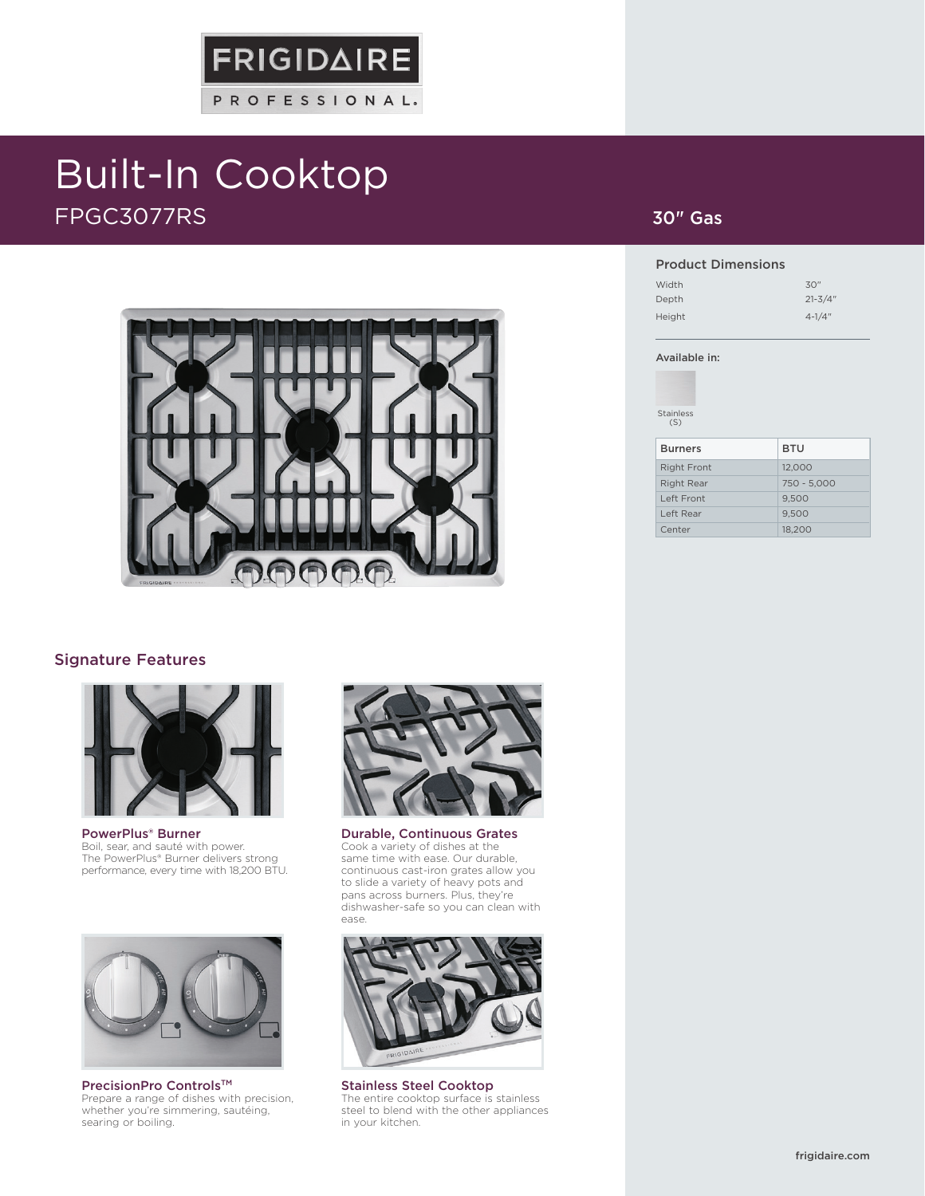# Built-In Cooktop FPGC3077RS



**FRIGIDAIRE** 

PROFESSIONAL.

### Signature Features



PowerPlus® Burner Boil, sear, and sauté with power. The PowerPlus® Burner delivers strong performance, every time with 18,200 BTU.



PrecisionPro Controls™ Prepare a range of dishes with precision, whether you're simmering, sautéing, searing or boiling.



Durable, Continuous Grates Cook a variety of dishes at the same time with ease. Our durable, continuous cast-iron grates allow you to slide a variety of heavy pots and pans across burners. Plus, they're dishwasher-safe so you can clean with ease.



Stainless Steel Cooktop The entire cooktop surface is stainless steel to blend with the other appliances in your kitchen.

### 30" Gas

#### Product Dimensions

| Width  | 30"         |
|--------|-------------|
| Depth  | $21 - 3/4"$ |
| Height | $4 - 1/4$ " |

#### Available in:

Stainless (S)

| <b>Burners</b>     | <b>BTU</b>  |
|--------------------|-------------|
| <b>Right Front</b> | 12,000      |
| <b>Right Rear</b>  | 750 - 5.000 |
| Left Front         | 9.500       |
| Left Rear          | 9.500       |
| Center             | 18,200      |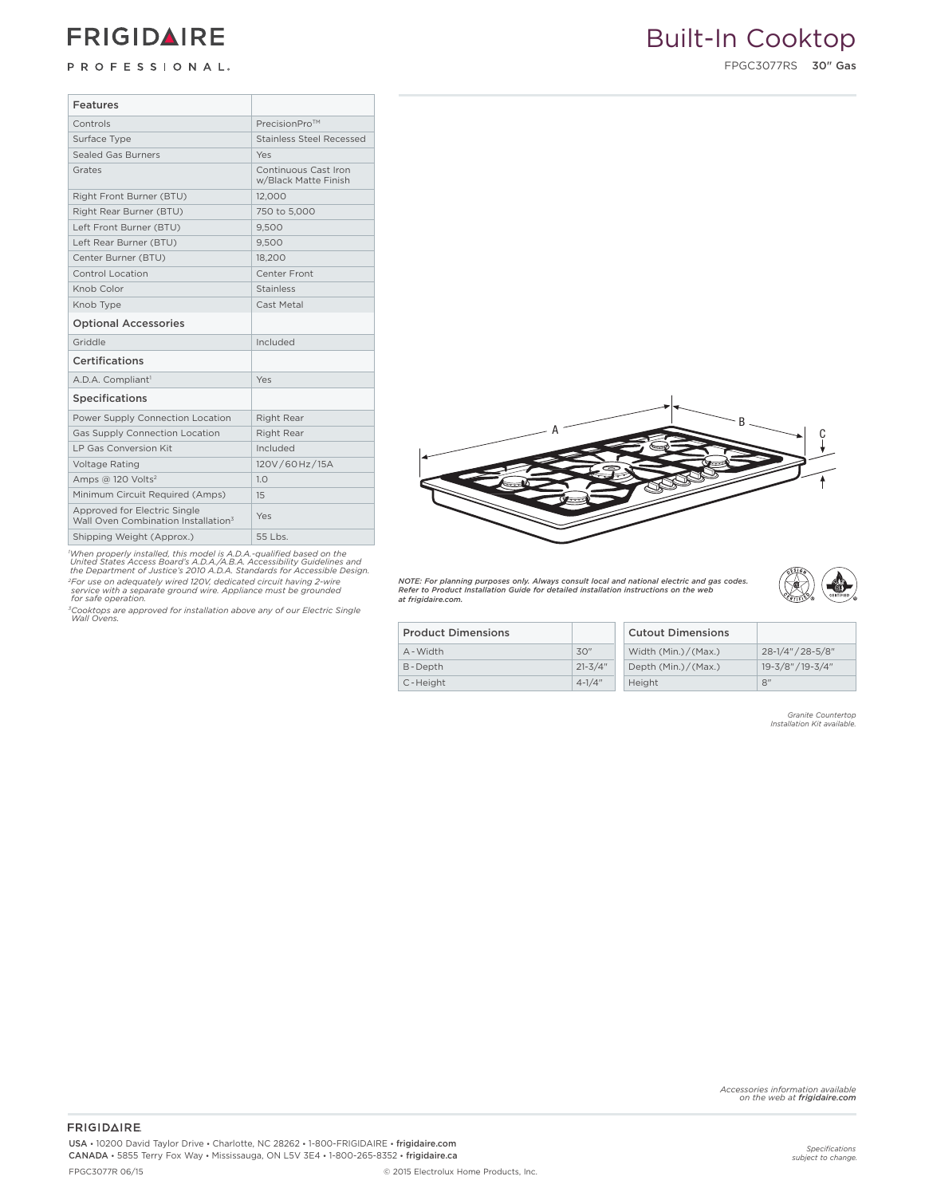# **FRIGIDAIRE**

FPGC3077RS 30" Gas **Drop-In Gas Cooktops (Front Controls)**

| Features                                                                        |                                              |
|---------------------------------------------------------------------------------|----------------------------------------------|
| Controls                                                                        | PrecisionPro™                                |
| Surface Type                                                                    | <b>Stainless Steel Recessed</b>              |
| <b>Sealed Gas Burners</b>                                                       | Yes                                          |
| Grates                                                                          | Continuous Cast Iron<br>w/Black Matte Finish |
| Right Front Burner (BTU)                                                        | 12,000                                       |
| Right Rear Burner (BTU)                                                         | 750 to 5,000                                 |
| Left Front Burner (BTU)                                                         | 9,500                                        |
| Left Rear Burner (BTU)                                                          | 9,500                                        |
| Center Burner (BTU)                                                             | 18,200                                       |
| Control Location                                                                | Center Front                                 |
| Knob Color                                                                      | Stainless                                    |
| Knob Type                                                                       | Cast Metal                                   |
| <b>Optional Accessories</b>                                                     |                                              |
| Griddle                                                                         | Included                                     |
| Certifications                                                                  |                                              |
| A.D.A. Compliant <sup>1</sup>                                                   | Yes                                          |
| Specifications                                                                  |                                              |
| Power Supply Connection Location                                                | Right Rear                                   |
| Gas Supply Connection Location                                                  | Right Rear                                   |
| LP Gas Conversion Kit                                                           | Included                                     |
| Voltage Rating                                                                  | 120V/60Hz/15A                                |
| Amps @ 120 Volts <sup>2</sup>                                                   | 1.0                                          |
| Minimum Circuit Required (Amps)                                                 | 15                                           |
| Approved for Electric Single<br>Wall Oven Combination Installation <sup>3</sup> | Yes                                          |
| Shipping Weight (Approx.)                                                       | 55 Lbs.                                      |

'When properly installed, this model is A.D.A.-qualified based on the<br>United States Access Board's A.D.A./A.B.A. Accessibility Guidelines and<br>the Department of Justice's 2010 A.D.A. Standards for Accessible Design. *2For use on adequately wired 120V, dedicated circuit having 2-wire service with a separate ground wire. Appliance must be grounded for safe operation.*

*3Cooktops are approved for installation above any of our Electric Single Wall Ovens.*



*NOTE: For planning purposes only. Always consult local and national electric and gas codes. Refer to Product Installation Guide for detailed installation instructions on the web at frigidaire.com.*



| <b>Product Dimensions</b> |             | <b>Cutout Dimensions</b> |                   |
|---------------------------|-------------|--------------------------|-------------------|
| A - Width                 | 30"         | Width (Min.)/(Max.)      | 28-1/4" / 28-5/8" |
| B-Depth                   | $21 - 3/4"$ | Depth (Min.)/(Max.)      | 19-3/8" / 19-3/4" |
| C-Height                  | $4 - 1/4"$  | Height                   | 8"                |

*Granite Countertop Installation Kit available.*

**FRIGIDAIRE** USA • 10200 David Taylor Drive • Charlotte, NC 28262 • 1-800-FRIGIDAIRE • frigidaire.com CANADA • 5855 Terry Fox Way • Mississauga, ON L5V 3E4 • 1-800-265-8352 • frigidaire.ca